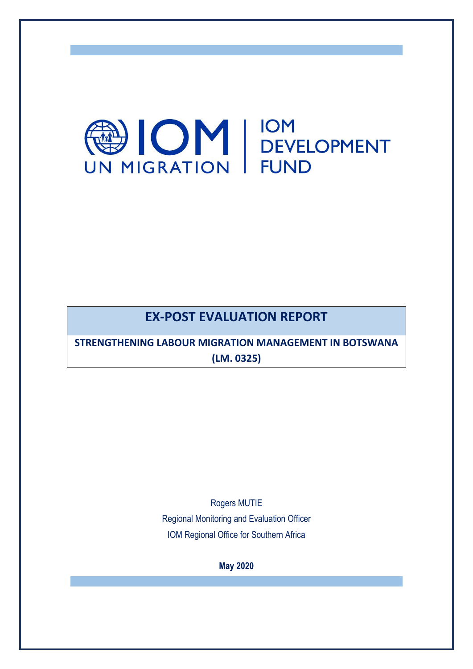

# **EX-POST EVALUATION REPORT**

**STRENGTHENING LABOUR MIGRATION MANAGEMENT IN BOTSWANA (LM. 0325)**

Rogers MUTIE

Regional Monitoring and Evaluation Officer IOM Regional Office for Southern Africa

**May 2020**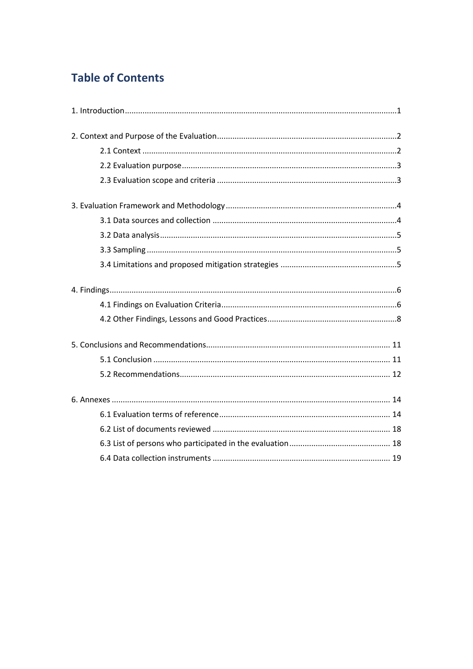# **Table of Contents**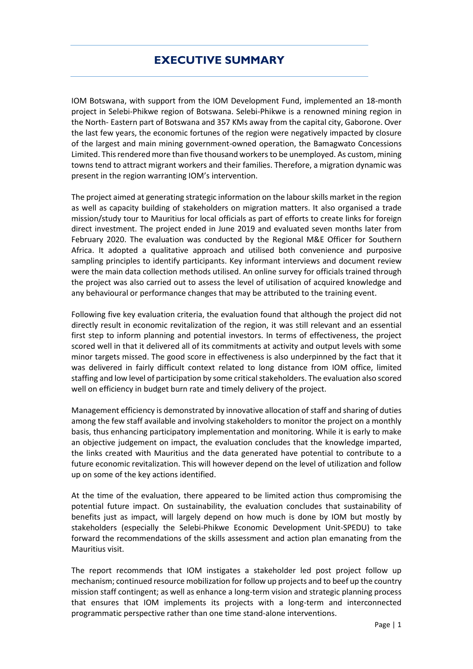# **EXECUTIVE SUMMARY**

IOM Botswana, with support from the IOM Development Fund, implemented an 18-month project in Selebi-Phikwe region of Botswana. Selebi-Phikwe is a renowned mining region in the North- Eastern part of Botswana and 357 KMs away from the capital city, Gaborone. Over the last few years, the economic fortunes of the region were negatively impacted by closure of the largest and main mining government-owned operation, the Bamagwato Concessions Limited. This rendered more than five thousand workersto be unemployed. As custom, mining towns tend to attract migrant workers and their families. Therefore, a migration dynamic was present in the region warranting IOM's intervention.

The project aimed at generating strategic information on the labour skills market in the region as well as capacity building of stakeholders on migration matters. It also organised a trade mission/study tour to Mauritius for local officials as part of efforts to create links for foreign direct investment. The project ended in June 2019 and evaluated seven months later from February 2020. The evaluation was conducted by the Regional M&E Officer for Southern Africa. It adopted a qualitative approach and utilised both convenience and purposive sampling principles to identify participants. Key informant interviews and document review were the main data collection methods utilised. An online survey for officials trained through the project was also carried out to assess the level of utilisation of acquired knowledge and any behavioural or performance changes that may be attributed to the training event.

Following five key evaluation criteria, the evaluation found that although the project did not directly result in economic revitalization of the region, it was still relevant and an essential first step to inform planning and potential investors. In terms of effectiveness, the project scored well in that it delivered all of its commitments at activity and output levels with some minor targets missed. The good score in effectiveness is also underpinned by the fact that it was delivered in fairly difficult context related to long distance from IOM office, limited staffing and low level of participation by some critical stakeholders. The evaluation also scored well on efficiency in budget burn rate and timely delivery of the project.

Management efficiency is demonstrated by innovative allocation of staff and sharing of duties among the few staff available and involving stakeholders to monitor the project on a monthly basis, thus enhancing participatory implementation and monitoring. While it is early to make an objective judgement on impact, the evaluation concludes that the knowledge imparted, the links created with Mauritius and the data generated have potential to contribute to a future economic revitalization. This will however depend on the level of utilization and follow up on some of the key actions identified.

At the time of the evaluation, there appeared to be limited action thus compromising the potential future impact. On sustainability, the evaluation concludes that sustainability of benefits just as impact, will largely depend on how much is done by IOM but mostly by stakeholders (especially the Selebi-Phikwe Economic Development Unit-SPEDU) to take forward the recommendations of the skills assessment and action plan emanating from the Mauritius visit.

The report recommends that IOM instigates a stakeholder led post project follow up mechanism; continued resource mobilization for follow up projects and to beef up the country mission staff contingent; as well as enhance a long-term vision and strategic planning process that ensures that IOM implements its projects with a long-term and interconnected programmatic perspective rather than one time stand-alone interventions.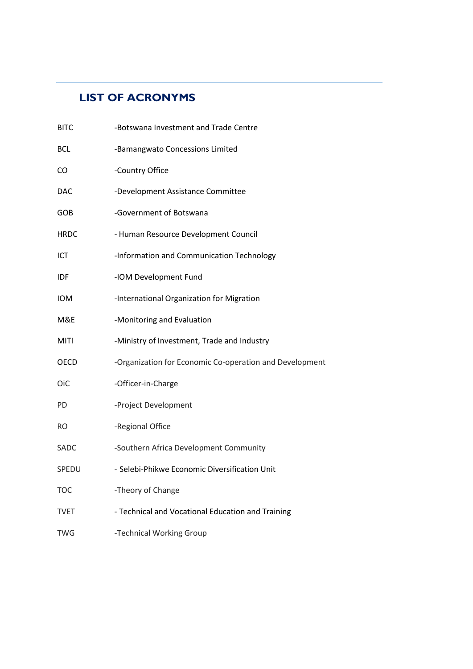# **LIST OF ACRONYMS**

| <b>BITC</b> | -Botswana Investment and Trade Centre                   |
|-------------|---------------------------------------------------------|
| <b>BCL</b>  | -Bamangwato Concessions Limited                         |
| CO          | -Country Office                                         |
| <b>DAC</b>  | -Development Assistance Committee                       |
| GOB         | -Government of Botswana                                 |
| <b>HRDC</b> | - Human Resource Development Council                    |
| ICT         | -Information and Communication Technology               |
| <b>IDF</b>  | -IOM Development Fund                                   |
| <b>IOM</b>  | -International Organization for Migration               |
| M&E         | -Monitoring and Evaluation                              |
| <b>MITI</b> | -Ministry of Investment, Trade and Industry             |
| OECD        | -Organization for Economic Co-operation and Development |
| 0iC         | -Officer-in-Charge                                      |
| <b>PD</b>   | -Project Development                                    |
| <b>RO</b>   | -Regional Office                                        |
| SADC        | -Southern Africa Development Community                  |
| SPEDU       | - Selebi-Phikwe Economic Diversification Unit           |
| <b>TOC</b>  | -Theory of Change                                       |
| <b>TVET</b> | - Technical and Vocational Education and Training       |
| <b>TWG</b>  | -Technical Working Group                                |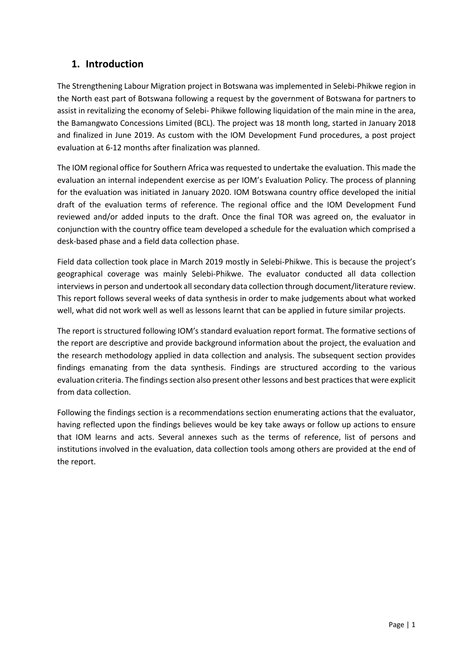# <span id="page-4-0"></span>**1. Introduction**

The Strengthening Labour Migration project in Botswana was implemented in Selebi-Phikwe region in the North east part of Botswana following a request by the government of Botswana for partners to assist in revitalizing the economy of Selebi- Phikwe following liquidation of the main mine in the area, the Bamangwato Concessions Limited (BCL). The project was 18 month long, started in January 2018 and finalized in June 2019. As custom with the IOM Development Fund procedures, a post project evaluation at 6-12 months after finalization was planned.

The IOM regional office for Southern Africa was requested to undertake the evaluation. This made the evaluation an internal independent exercise as per IOM's Evaluation Policy. The process of planning for the evaluation was initiated in January 2020. IOM Botswana country office developed the initial draft of the evaluation terms of reference. The regional office and the IOM Development Fund reviewed and/or added inputs to the draft. Once the final TOR was agreed on, the evaluator in conjunction with the country office team developed a schedule for the evaluation which comprised a desk-based phase and a field data collection phase.

Field data collection took place in March 2019 mostly in Selebi-Phikwe. This is because the project's geographical coverage was mainly Selebi-Phikwe. The evaluator conducted all data collection interviews in person and undertook all secondary data collection through document/literature review. This report follows several weeks of data synthesis in order to make judgements about what worked well, what did not work well as well as lessons learnt that can be applied in future similar projects.

The report is structured following IOM's standard evaluation report format. The formative sections of the report are descriptive and provide background information about the project, the evaluation and the research methodology applied in data collection and analysis. The subsequent section provides findings emanating from the data synthesis. Findings are structured according to the various evaluation criteria. The findings section also present other lessons and best practices that were explicit from data collection.

Following the findings section is a recommendations section enumerating actions that the evaluator, having reflected upon the findings believes would be key take aways or follow up actions to ensure that IOM learns and acts. Several annexes such as the terms of reference, list of persons and institutions involved in the evaluation, data collection tools among others are provided at the end of the report.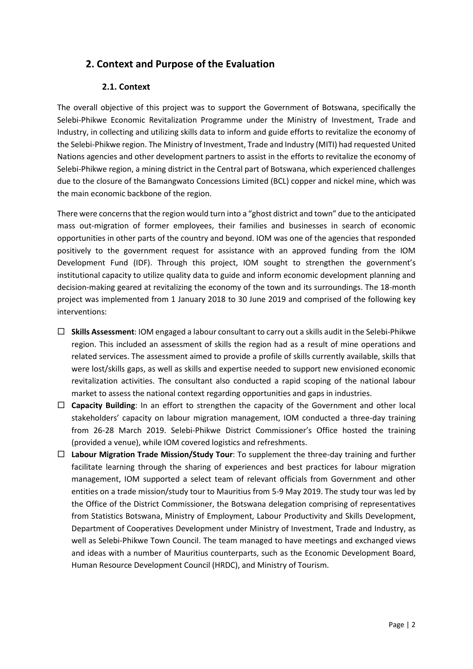# <span id="page-5-0"></span>**2. Context and Purpose of the Evaluation**

## **2.1. Context**

<span id="page-5-1"></span>The overall objective of this project was to support the Government of Botswana, specifically the Selebi-Phikwe Economic Revitalization Programme under the Ministry of Investment, Trade and Industry, in collecting and utilizing skills data to inform and guide efforts to revitalize the economy of the Selebi-Phikwe region. The Ministry of Investment, Trade and Industry (MITI) had requested United Nations agencies and other development partners to assist in the efforts to revitalize the economy of Selebi-Phikwe region, a mining district in the Central part of Botswana, which experienced challenges due to the closure of the Bamangwato Concessions Limited (BCL) copper and nickel mine, which was the main economic backbone of the region.

There were concerns that the region would turn into a "ghost district and town" due to the anticipated mass out-migration of former employees, their families and businesses in search of economic opportunities in other parts of the country and beyond. IOM was one of the agencies that responded positively to the government request for assistance with an approved funding from the IOM Development Fund (IDF). Through this project, IOM sought to strengthen the government's institutional capacity to utilize quality data to guide and inform economic development planning and decision-making geared at revitalizing the economy of the town and its surroundings. The 18-month project was implemented from 1 January 2018 to 30 June 2019 and comprised of the following key interventions:

- **Skills Assessment**: IOM engaged a labour consultant to carry out a skills audit in the Selebi-Phikwe region. This included an assessment of skills the region had as a result of mine operations and related services. The assessment aimed to provide a profile of skills currently available, skills that were lost/skills gaps, as well as skills and expertise needed to support new envisioned economic revitalization activities. The consultant also conducted a rapid scoping of the national labour market to assess the national context regarding opportunities and gaps in industries.
- □ **Capacity Building**: In an effort to strengthen the capacity of the Government and other local stakeholders' capacity on labour migration management, IOM conducted a three-day training from 26-28 March 2019. Selebi-Phikwe District Commissioner's Office hosted the training (provided a venue), while IOM covered logistics and refreshments.
- **Labour Migration Trade Mission/Study Tour**: To supplement the three-day training and further facilitate learning through the sharing of experiences and best practices for labour migration management, IOM supported a select team of relevant officials from Government and other entities on a trade mission/study tour to Mauritius from 5-9 May 2019. The study tour was led by the Office of the District Commissioner, the Botswana delegation comprising of representatives from Statistics Botswana, Ministry of Employment, Labour Productivity and Skills Development, Department of Cooperatives Development under Ministry of Investment, Trade and Industry, as well as Selebi-Phikwe Town Council. The team managed to have meetings and exchanged views and ideas with a number of Mauritius counterparts, such as the Economic Development Board, Human Resource Development Council (HRDC), and Ministry of Tourism.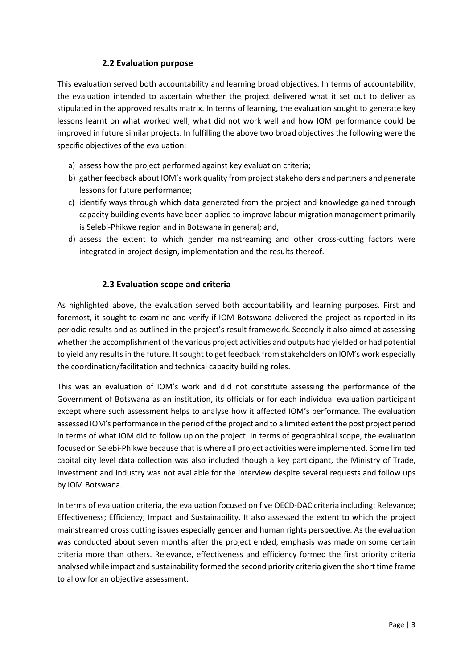## **2.2 Evaluation purpose**

<span id="page-6-0"></span>This evaluation served both accountability and learning broad objectives. In terms of accountability, the evaluation intended to ascertain whether the project delivered what it set out to deliver as stipulated in the approved results matrix. In terms of learning, the evaluation sought to generate key lessons learnt on what worked well, what did not work well and how IOM performance could be improved in future similar projects. In fulfilling the above two broad objectives the following were the specific objectives of the evaluation:

- a) assess how the project performed against key evaluation criteria;
- b) gather feedback about IOM's work quality from project stakeholders and partners and generate lessons for future performance;
- c) identify ways through which data generated from the project and knowledge gained through capacity building events have been applied to improve labour migration management primarily is Selebi-Phikwe region and in Botswana in general; and,
- d) assess the extent to which gender mainstreaming and other cross-cutting factors were integrated in project design, implementation and the results thereof.

# **2.3 Evaluation scope and criteria**

<span id="page-6-1"></span>As highlighted above, the evaluation served both accountability and learning purposes. First and foremost, it sought to examine and verify if IOM Botswana delivered the project as reported in its periodic results and as outlined in the project's result framework. Secondly it also aimed at assessing whether the accomplishment of the various project activities and outputs had yielded or had potential to yield any results in the future. It sought to get feedback from stakeholders on IOM's work especially the coordination/facilitation and technical capacity building roles.

This was an evaluation of IOM's work and did not constitute assessing the performance of the Government of Botswana as an institution, its officials or for each individual evaluation participant except where such assessment helps to analyse how it affected IOM's performance. The evaluation assessed IOM's performance in the period of the project and to a limited extent the post project period in terms of what IOM did to follow up on the project. In terms of geographical scope, the evaluation focused on Selebi-Phikwe because that is where all project activities were implemented. Some limited capital city level data collection was also included though a key participant, the Ministry of Trade, Investment and Industry was not available for the interview despite several requests and follow ups by IOM Botswana.

In terms of evaluation criteria, the evaluation focused on five OECD-DAC criteria including: Relevance; Effectiveness; Efficiency; Impact and Sustainability. It also assessed the extent to which the project mainstreamed cross cutting issues especially gender and human rights perspective. As the evaluation was conducted about seven months after the project ended, emphasis was made on some certain criteria more than others. Relevance, effectiveness and efficiency formed the first priority criteria analysed while impact and sustainability formed the second priority criteria given the short time frame to allow for an objective assessment.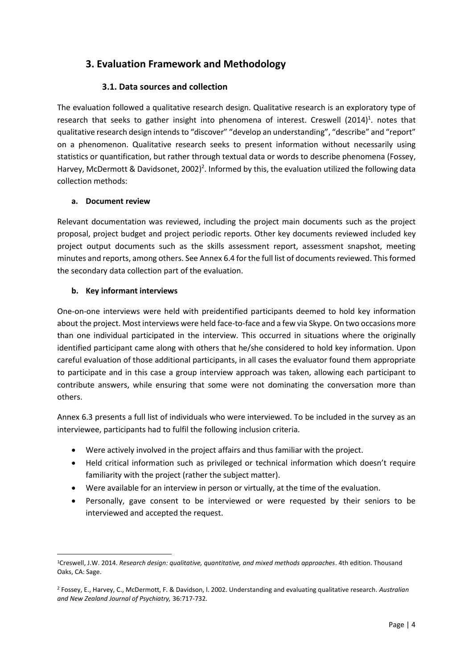# <span id="page-7-0"></span>**3. Evaluation Framework and Methodology**

## **3.1. Data sources and collection**

<span id="page-7-1"></span>The evaluation followed a qualitative research design. Qualitative research is an exploratory type of research that seeks to gather insight into phenomena of interest. Creswell (2014)<sup>1</sup>. notes that qualitative research design intends to "discover" "develop an understanding", "describe" and "report" on a phenomenon. Qualitative research seeks to present information without necessarily using statistics or quantification, but rather through textual data or words to describe phenomena (Fossey, Harvey, McDermott & Davidsonet, 2002)<sup>2</sup>. Informed by this, the evaluation utilized the following data collection methods:

## **a. Document review**

Relevant documentation was reviewed, including the project main documents such as the project proposal, project budget and project periodic reports. Other key documents reviewed included key project output documents such as the skills assessment report, assessment snapshot, meeting minutes and reports, among others. See Annex 6.4 for the full list of documents reviewed. This formed the secondary data collection part of the evaluation.

## **b. Key informant interviews**

One-on-one interviews were held with preidentified participants deemed to hold key information about the project. Most interviews were held face-to-face and a few via Skype. On two occasions more than one individual participated in the interview. This occurred in situations where the originally identified participant came along with others that he/she considered to hold key information. Upon careful evaluation of those additional participants, in all cases the evaluator found them appropriate to participate and in this case a group interview approach was taken, allowing each participant to contribute answers, while ensuring that some were not dominating the conversation more than others.

Annex 6.3 presents a full list of individuals who were interviewed. To be included in the survey as an interviewee, participants had to fulfil the following inclusion criteria.

- Were actively involved in the project affairs and thus familiar with the project.
- Held critical information such as privileged or technical information which doesn't require familiarity with the project (rather the subject matter).
- Were available for an interview in person or virtually, at the time of the evaluation.
- Personally, gave consent to be interviewed or were requested by their seniors to be interviewed and accepted the request.

<sup>1</sup>Creswell, J.W. 2014. *Research design: qualitative, quantitative, and mixed methods approaches*. 4th edition. Thousand Oaks, CA: Sage.

<sup>2</sup> Fossey, E., Harvey, C., McDermott, F. & Davidson, l. 2002. Understanding and evaluating qualitative research. *Australian and New Zealand Journal of Psychiatry,* 36:717-732.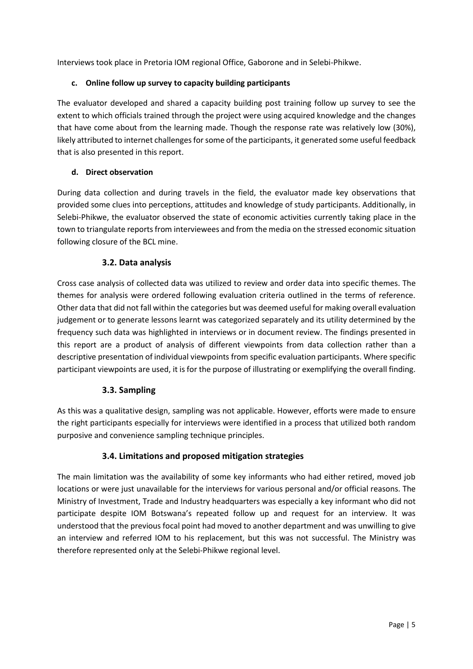Interviews took place in Pretoria IOM regional Office, Gaborone and in Selebi-Phikwe.

#### **c. Online follow up survey to capacity building participants**

The evaluator developed and shared a capacity building post training follow up survey to see the extent to which officials trained through the project were using acquired knowledge and the changes that have come about from the learning made. Though the response rate was relatively low (30%), likely attributed to internet challenges for some of the participants, it generated some useful feedback that is also presented in this report.

## **d. Direct observation**

During data collection and during travels in the field, the evaluator made key observations that provided some clues into perceptions, attitudes and knowledge of study participants. Additionally, in Selebi-Phikwe, the evaluator observed the state of economic activities currently taking place in the town to triangulate reports from interviewees and from the media on the stressed economic situation following closure of the BCL mine.

# **3.2. Data analysis**

<span id="page-8-0"></span>Cross case analysis of collected data was utilized to review and order data into specific themes. The themes for analysis were ordered following evaluation criteria outlined in the terms of reference. Other data that did not fall within the categories but was deemed useful for making overall evaluation judgement or to generate lessons learnt was categorized separately and its utility determined by the frequency such data was highlighted in interviews or in document review. The findings presented in this report are a product of analysis of different viewpoints from data collection rather than a descriptive presentation of individual viewpoints from specific evaluation participants. Where specific participant viewpoints are used, it is for the purpose of illustrating or exemplifying the overall finding.

## **3.3. Sampling**

<span id="page-8-1"></span>As this was a qualitative design, sampling was not applicable. However, efforts were made to ensure the right participants especially for interviews were identified in a process that utilized both random purposive and convenience sampling technique principles.

## **3.4. Limitations and proposed mitigation strategies**

<span id="page-8-2"></span>The main limitation was the availability of some key informants who had either retired, moved job locations or were just unavailable for the interviews for various personal and/or official reasons. The Ministry of Investment, Trade and Industry headquarters was especially a key informant who did not participate despite IOM Botswana's repeated follow up and request for an interview. It was understood that the previous focal point had moved to another department and was unwilling to give an interview and referred IOM to his replacement, but this was not successful. The Ministry was therefore represented only at the Selebi-Phikwe regional level.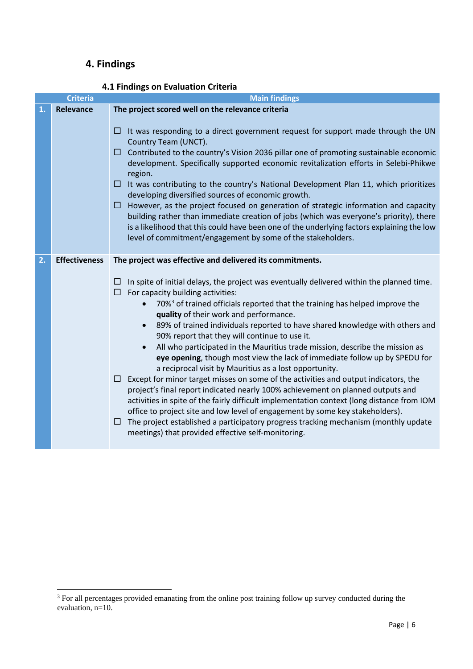# <span id="page-9-0"></span>**4. Findings**

<span id="page-9-1"></span>

|                        | <b>Criteria</b>      | <b>Main findings</b>                                                                                                                                                                                                                                                                                                                                                                                                                                                                                                                                                                                                                                                                                                                                                                  |  |  |
|------------------------|----------------------|---------------------------------------------------------------------------------------------------------------------------------------------------------------------------------------------------------------------------------------------------------------------------------------------------------------------------------------------------------------------------------------------------------------------------------------------------------------------------------------------------------------------------------------------------------------------------------------------------------------------------------------------------------------------------------------------------------------------------------------------------------------------------------------|--|--|
| 1.                     | Relevance            | The project scored well on the relevance criteria                                                                                                                                                                                                                                                                                                                                                                                                                                                                                                                                                                                                                                                                                                                                     |  |  |
| П<br>region.<br>□<br>О |                      | It was responding to a direct government request for support made through the UN<br>Country Team (UNCT).<br>Contributed to the country's Vision 2036 pillar one of promoting sustainable economic<br>development. Specifically supported economic revitalization efforts in Selebi-Phikwe<br>It was contributing to the country's National Development Plan 11, which prioritizes<br>developing diversified sources of economic growth.<br>However, as the project focused on generation of strategic information and capacity<br>building rather than immediate creation of jobs (which was everyone's priority), there<br>is a likelihood that this could have been one of the underlying factors explaining the low<br>level of commitment/engagement by some of the stakeholders. |  |  |
| 2.                     | <b>Effectiveness</b> | The project was effective and delivered its commitments.                                                                                                                                                                                                                                                                                                                                                                                                                                                                                                                                                                                                                                                                                                                              |  |  |
|                        |                      | In spite of initial delays, the project was eventually delivered within the planned time.<br>П                                                                                                                                                                                                                                                                                                                                                                                                                                                                                                                                                                                                                                                                                        |  |  |
|                        |                      | For capacity building activities:<br>□<br>70% <sup>3</sup> of trained officials reported that the training has helped improve the<br>$\bullet$<br>quality of their work and performance.                                                                                                                                                                                                                                                                                                                                                                                                                                                                                                                                                                                              |  |  |
|                        |                      | 89% of trained individuals reported to have shared knowledge with others and<br>$\bullet$<br>90% report that they will continue to use it.                                                                                                                                                                                                                                                                                                                                                                                                                                                                                                                                                                                                                                            |  |  |
|                        |                      | All who participated in the Mauritius trade mission, describe the mission as<br>$\bullet$<br>eye opening, though most view the lack of immediate follow up by SPEDU for<br>a reciprocal visit by Mauritius as a lost opportunity.                                                                                                                                                                                                                                                                                                                                                                                                                                                                                                                                                     |  |  |
|                        |                      | Except for minor target misses on some of the activities and output indicators, the<br>$\Box$<br>project's final report indicated nearly 100% achievement on planned outputs and<br>activities in spite of the fairly difficult implementation context (long distance from IOM<br>office to project site and low level of engagement by some key stakeholders).                                                                                                                                                                                                                                                                                                                                                                                                                       |  |  |
|                        |                      | The project established a participatory progress tracking mechanism (monthly update<br>□<br>meetings) that provided effective self-monitoring.                                                                                                                                                                                                                                                                                                                                                                                                                                                                                                                                                                                                                                        |  |  |

# **4.1 Findings on Evaluation Criteria**

 $3$  For all percentages provided emanating from the online post training follow up survey conducted during the evaluation, n=10.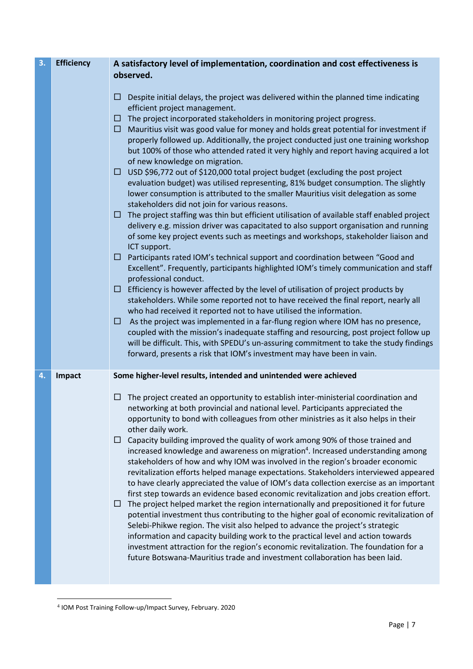| 3. | <b>Efficiency</b> | A satisfactory level of implementation, coordination and cost effectiveness is<br>observed.                                                                                                                                                                                                                                                                                                                                                                                                                                                                                                                                                                                                                                                                                                                                                                                                                                                                                                                                                                                                                                                                                                                                                                                                                                                                                                                                                                                                                                                                                                                                                                                                                                                                                                                                                                                                                                                                             |  |  |
|----|-------------------|-------------------------------------------------------------------------------------------------------------------------------------------------------------------------------------------------------------------------------------------------------------------------------------------------------------------------------------------------------------------------------------------------------------------------------------------------------------------------------------------------------------------------------------------------------------------------------------------------------------------------------------------------------------------------------------------------------------------------------------------------------------------------------------------------------------------------------------------------------------------------------------------------------------------------------------------------------------------------------------------------------------------------------------------------------------------------------------------------------------------------------------------------------------------------------------------------------------------------------------------------------------------------------------------------------------------------------------------------------------------------------------------------------------------------------------------------------------------------------------------------------------------------------------------------------------------------------------------------------------------------------------------------------------------------------------------------------------------------------------------------------------------------------------------------------------------------------------------------------------------------------------------------------------------------------------------------------------------------|--|--|
|    |                   | Despite initial delays, the project was delivered within the planned time indicating<br>ப<br>efficient project management.<br>The project incorporated stakeholders in monitoring project progress.<br>□<br>Mauritius visit was good value for money and holds great potential for investment if<br>□<br>properly followed up. Additionally, the project conducted just one training workshop<br>but 100% of those who attended rated it very highly and report having acquired a lot<br>of new knowledge on migration.<br>$\Box$ USD \$96,772 out of \$120,000 total project budget (excluding the post project<br>evaluation budget) was utilised representing, 81% budget consumption. The slightly<br>lower consumption is attributed to the smaller Mauritius visit delegation as some<br>stakeholders did not join for various reasons.<br>The project staffing was thin but efficient utilisation of available staff enabled project<br>$\Box$<br>delivery e.g. mission driver was capacitated to also support organisation and running<br>of some key project events such as meetings and workshops, stakeholder liaison and<br>ICT support.<br>□ Participants rated IOM's technical support and coordination between "Good and<br>Excellent". Frequently, participants highlighted IOM's timely communication and staff<br>professional conduct.<br>$\Box$ Efficiency is however affected by the level of utilisation of project products by<br>stakeholders. While some reported not to have received the final report, nearly all<br>who had received it reported not to have utilised the information.<br>As the project was implemented in a far-flung region where IOM has no presence,<br>□<br>coupled with the mission's inadequate staffing and resourcing, post project follow up<br>will be difficult. This, with SPEDU's un-assuring commitment to take the study findings<br>forward, presents a risk that IOM's investment may have been in vain. |  |  |
| 4. | Impact            | Some higher-level results, intended and unintended were achieved                                                                                                                                                                                                                                                                                                                                                                                                                                                                                                                                                                                                                                                                                                                                                                                                                                                                                                                                                                                                                                                                                                                                                                                                                                                                                                                                                                                                                                                                                                                                                                                                                                                                                                                                                                                                                                                                                                        |  |  |
|    |                   | The project created an opportunity to establish inter-ministerial coordination and<br>□<br>networking at both provincial and national level. Participants appreciated the<br>opportunity to bond with colleagues from other ministries as it also helps in their<br>other daily work.<br>Capacity building improved the quality of work among 90% of those trained and<br>$\Box$<br>increased knowledge and awareness on migration <sup>4</sup> . Increased understanding among<br>stakeholders of how and why IOM was involved in the region's broader economic<br>revitalization efforts helped manage expectations. Stakeholders interviewed appeared<br>to have clearly appreciated the value of IOM's data collection exercise as an important<br>first step towards an evidence based economic revitalization and jobs creation effort.<br>The project helped market the region internationally and prepositioned it for future<br>$\Box$<br>potential investment thus contributing to the higher goal of economic revitalization of<br>Selebi-Phikwe region. The visit also helped to advance the project's strategic<br>information and capacity building work to the practical level and action towards<br>investment attraction for the region's economic revitalization. The foundation for a<br>future Botswana-Mauritius trade and investment collaboration has been laid.                                                                                                                                                                                                                                                                                                                                                                                                                                                                                                                                                                                 |  |  |

<sup>4</sup> IOM Post Training Follow-up/Impact Survey, February. 2020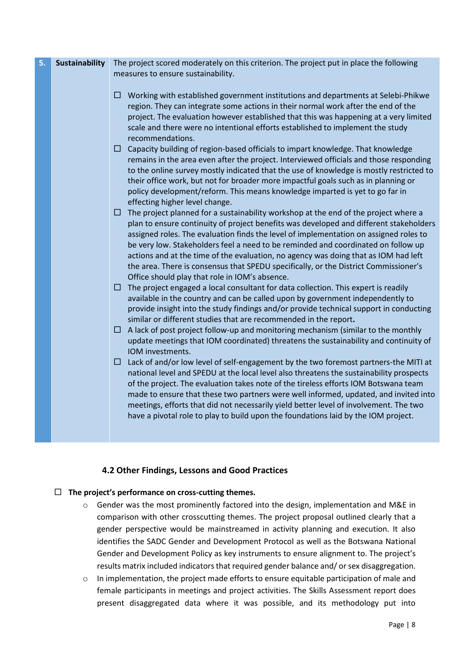| 5. | <b>Sustainability</b> | The project scored moderately on this criterion. The project put in place the following                                                                                                                                                                                                                                                                                                                                                                                                                                                                                                                                                                                                                                                                                                                                                                                                                                                                                                                                                                                                                                                                                                                                                                                                                                                                                                                                                                                                                                                                                                                                                                                                                                                                                                                                                                                                                                                                                                                                                                                                                                                                                                                                                                                                                                                                                                                                                                                                                                                                                              |  |
|----|-----------------------|--------------------------------------------------------------------------------------------------------------------------------------------------------------------------------------------------------------------------------------------------------------------------------------------------------------------------------------------------------------------------------------------------------------------------------------------------------------------------------------------------------------------------------------------------------------------------------------------------------------------------------------------------------------------------------------------------------------------------------------------------------------------------------------------------------------------------------------------------------------------------------------------------------------------------------------------------------------------------------------------------------------------------------------------------------------------------------------------------------------------------------------------------------------------------------------------------------------------------------------------------------------------------------------------------------------------------------------------------------------------------------------------------------------------------------------------------------------------------------------------------------------------------------------------------------------------------------------------------------------------------------------------------------------------------------------------------------------------------------------------------------------------------------------------------------------------------------------------------------------------------------------------------------------------------------------------------------------------------------------------------------------------------------------------------------------------------------------------------------------------------------------------------------------------------------------------------------------------------------------------------------------------------------------------------------------------------------------------------------------------------------------------------------------------------------------------------------------------------------------------------------------------------------------------------------------------------------------|--|
|    |                       | measures to ensure sustainability.                                                                                                                                                                                                                                                                                                                                                                                                                                                                                                                                                                                                                                                                                                                                                                                                                                                                                                                                                                                                                                                                                                                                                                                                                                                                                                                                                                                                                                                                                                                                                                                                                                                                                                                                                                                                                                                                                                                                                                                                                                                                                                                                                                                                                                                                                                                                                                                                                                                                                                                                                   |  |
|    |                       | $\Box$ Working with established government institutions and departments at Selebi-Phikwe<br>region. They can integrate some actions in their normal work after the end of the<br>project. The evaluation however established that this was happening at a very limited<br>scale and there were no intentional efforts established to implement the study<br>recommendations.<br>$\Box$ Capacity building of region-based officials to impart knowledge. That knowledge<br>remains in the area even after the project. Interviewed officials and those responding<br>to the online survey mostly indicated that the use of knowledge is mostly restricted to<br>their office work, but not for broader more impactful goals such as in planning or<br>policy development/reform. This means knowledge imparted is yet to go far in<br>effecting higher level change.<br>$\Box$ The project planned for a sustainability workshop at the end of the project where a<br>plan to ensure continuity of project benefits was developed and different stakeholders<br>assigned roles. The evaluation finds the level of implementation on assigned roles to<br>be very low. Stakeholders feel a need to be reminded and coordinated on follow up<br>actions and at the time of the evaluation, no agency was doing that as IOM had left<br>the area. There is consensus that SPEDU specifically, or the District Commissioner's<br>Office should play that role in IOM's absence.<br>$\Box$ The project engaged a local consultant for data collection. This expert is readily<br>available in the country and can be called upon by government independently to<br>provide insight into the study findings and/or provide technical support in conducting<br>similar or different studies that are recommended in the report.<br>A lack of post project follow-up and monitoring mechanism (similar to the monthly<br>u.<br>update meetings that IOM coordinated) threatens the sustainability and continuity of<br>IOM investments.<br>Lack of and/or low level of self-engagement by the two foremost partners-the MITI at<br>ш<br>national level and SPEDU at the local level also threatens the sustainability prospects<br>of the project. The evaluation takes note of the tireless efforts IOM Botswana team<br>made to ensure that these two partners were well informed, updated, and invited into<br>meetings, efforts that did not necessarily yield better level of involvement. The two<br>have a pivotal role to play to build upon the foundations laid by the IOM project. |  |
|    |                       |                                                                                                                                                                                                                                                                                                                                                                                                                                                                                                                                                                                                                                                                                                                                                                                                                                                                                                                                                                                                                                                                                                                                                                                                                                                                                                                                                                                                                                                                                                                                                                                                                                                                                                                                                                                                                                                                                                                                                                                                                                                                                                                                                                                                                                                                                                                                                                                                                                                                                                                                                                                      |  |

# **4.2 Other Findings, Lessons and Good Practices**

# <span id="page-11-0"></span>**The project's performance on cross-cutting themes.**

- o Gender was the most prominently factored into the design, implementation and M&E in comparison with other crosscutting themes. The project proposal outlined clearly that a gender perspective would be mainstreamed in activity planning and execution. It also identifies the SADC Gender and Development Protocol as well as the Botswana National Gender and Development Policy as key instruments to ensure alignment to. The project's results matrix included indicators that required gender balance and/ or sex disaggregation.
- o In implementation, the project made efforts to ensure equitable participation of male and female participants in meetings and project activities. The Skills Assessment report does present disaggregated data where it was possible, and its methodology put into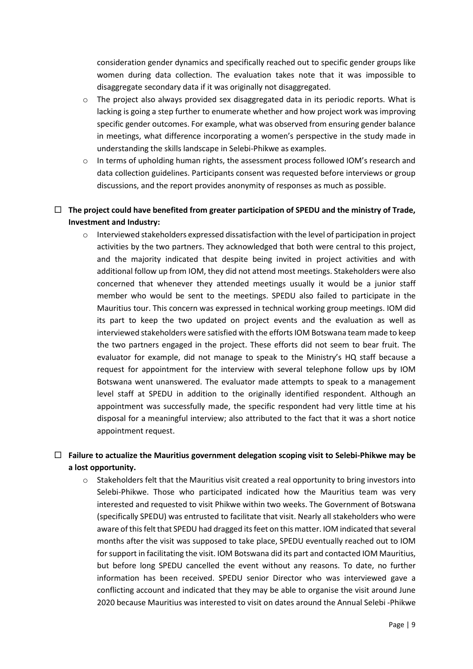consideration gender dynamics and specifically reached out to specific gender groups like women during data collection. The evaluation takes note that it was impossible to disaggregate secondary data if it was originally not disaggregated.

- o The project also always provided sex disaggregated data in its periodic reports. What is lacking is going a step further to enumerate whether and how project work was improving specific gender outcomes. For example, what was observed from ensuring gender balance in meetings, what difference incorporating a women's perspective in the study made in understanding the skills landscape in Selebi-Phikwe as examples.
- o In terms of upholding human rights, the assessment process followed IOM's research and data collection guidelines. Participants consent was requested before interviews or group discussions, and the report provides anonymity of responses as much as possible.

# **The project could have benefited from greater participation of SPEDU and the ministry of Trade, Investment and Industry:**

o Interviewed stakeholders expressed dissatisfaction with the level of participation in project activities by the two partners. They acknowledged that both were central to this project, and the majority indicated that despite being invited in project activities and with additional follow up from IOM, they did not attend most meetings. Stakeholders were also concerned that whenever they attended meetings usually it would be a junior staff member who would be sent to the meetings. SPEDU also failed to participate in the Mauritius tour. This concern was expressed in technical working group meetings. IOM did its part to keep the two updated on project events and the evaluation as well as interviewed stakeholders were satisfied with the efforts IOM Botswana team made to keep the two partners engaged in the project. These efforts did not seem to bear fruit. The evaluator for example, did not manage to speak to the Ministry's HQ staff because a request for appointment for the interview with several telephone follow ups by IOM Botswana went unanswered. The evaluator made attempts to speak to a management level staff at SPEDU in addition to the originally identified respondent. Although an appointment was successfully made, the specific respondent had very little time at his disposal for a meaningful interview; also attributed to the fact that it was a short notice appointment request.

# **Failure to actualize the Mauritius government delegation scoping visit to Selebi-Phikwe may be a lost opportunity.**

o Stakeholders felt that the Mauritius visit created a real opportunity to bring investors into Selebi-Phikwe. Those who participated indicated how the Mauritius team was very interested and requested to visit Phikwe within two weeks. The Government of Botswana (specifically SPEDU) was entrusted to facilitate that visit. Nearly all stakeholders who were aware of this felt that SPEDU had dragged its feet on this matter. IOM indicated that several months after the visit was supposed to take place, SPEDU eventually reached out to IOM for support in facilitating the visit. IOM Botswana did its part and contacted IOM Mauritius, but before long SPEDU cancelled the event without any reasons. To date, no further information has been received. SPEDU senior Director who was interviewed gave a conflicting account and indicated that they may be able to organise the visit around June 2020 because Mauritius was interested to visit on dates around the Annual Selebi -Phikwe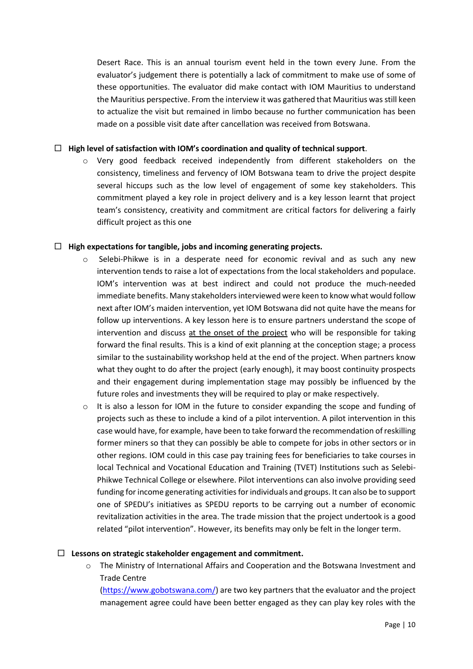Desert Race. This is an annual tourism event held in the town every June. From the evaluator's judgement there is potentially a lack of commitment to make use of some of these opportunities. The evaluator did make contact with IOM Mauritius to understand the Mauritius perspective. From the interview it was gathered that Mauritius wasstill keen to actualize the visit but remained in limbo because no further communication has been made on a possible visit date after cancellation was received from Botswana.

#### **High level of satisfaction with IOM's coordination and quality of technical support**.

o Very good feedback received independently from different stakeholders on the consistency, timeliness and fervency of IOM Botswana team to drive the project despite several hiccups such as the low level of engagement of some key stakeholders. This commitment played a key role in project delivery and is a key lesson learnt that project team's consistency, creativity and commitment are critical factors for delivering a fairly difficult project as this one

#### **High expectations for tangible, jobs and incoming generating projects.**

- o Selebi-Phikwe is in a desperate need for economic revival and as such any new intervention tends to raise a lot of expectations from the local stakeholders and populace. IOM's intervention was at best indirect and could not produce the much-needed immediate benefits. Many stakeholders interviewed were keen to know what would follow next after IOM's maiden intervention, yet IOM Botswana did not quite have the means for follow up interventions. A key lesson here is to ensure partners understand the scope of intervention and discuss at the onset of the project who will be responsible for taking forward the final results. This is a kind of exit planning at the conception stage; a process similar to the sustainability workshop held at the end of the project. When partners know what they ought to do after the project (early enough), it may boost continuity prospects and their engagement during implementation stage may possibly be influenced by the future roles and investments they will be required to play or make respectively.
- o It is also a lesson for IOM in the future to consider expanding the scope and funding of projects such as these to include a kind of a pilot intervention. A pilot intervention in this case would have, for example, have been to take forward the recommendation of reskilling former miners so that they can possibly be able to compete for jobs in other sectors or in other regions. IOM could in this case pay training fees for beneficiaries to take courses in local Technical and Vocational Education and Training (TVET) Institutions such as Selebi-Phikwe Technical College or elsewhere. Pilot interventions can also involve providing seed funding for income generating activities for individuals and groups. It can also be to support one of SPEDU's initiatives as SPEDU reports to be carrying out a number of economic revitalization activities in the area. The trade mission that the project undertook is a good related "pilot intervention". However, its benefits may only be felt in the longer term.

#### **Lessons on strategic stakeholder engagement and commitment.**

o The Ministry of International Affairs and Cooperation and the Botswana Investment and Trade Centre

[\(https://www.gobotswana.com/\)](https://www.gobotswana.com/) are two key partners that the evaluator and the project management agree could have been better engaged as they can play key roles with the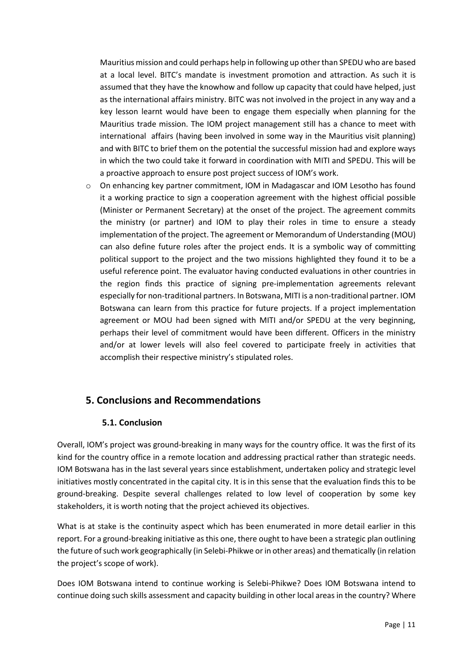Mauritius mission and could perhaps help in following up other than SPEDU who are based at a local level. BITC's mandate is investment promotion and attraction. As such it is assumed that they have the knowhow and follow up capacity that could have helped, just as the international affairs ministry. BITC was not involved in the project in any way and a key lesson learnt would have been to engage them especially when planning for the Mauritius trade mission. The IOM project management still has a chance to meet with international affairs (having been involved in some way in the Mauritius visit planning) and with BITC to brief them on the potential the successful mission had and explore ways in which the two could take it forward in coordination with MITI and SPEDU. This will be a proactive approach to ensure post project success of IOM's work.

o On enhancing key partner commitment, IOM in Madagascar and IOM Lesotho has found it a working practice to sign a cooperation agreement with the highest official possible (Minister or Permanent Secretary) at the onset of the project. The agreement commits the ministry (or partner) and IOM to play their roles in time to ensure a steady implementation of the project. The agreement or Memorandum of Understanding (MOU) can also define future roles after the project ends. It is a symbolic way of committing political support to the project and the two missions highlighted they found it to be a useful reference point. The evaluator having conducted evaluations in other countries in the region finds this practice of signing pre-implementation agreements relevant especially for non-traditional partners. In Botswana, MITI is a non-traditional partner. IOM Botswana can learn from this practice for future projects. If a project implementation agreement or MOU had been signed with MITI and/or SPEDU at the very beginning, perhaps their level of commitment would have been different. Officers in the ministry and/or at lower levels will also feel covered to participate freely in activities that accomplish their respective ministry's stipulated roles.

# <span id="page-14-0"></span>**5. Conclusions and Recommendations**

# **5.1. Conclusion**

<span id="page-14-1"></span>Overall, IOM's project was ground-breaking in many ways for the country office. It was the first of its kind for the country office in a remote location and addressing practical rather than strategic needs. IOM Botswana has in the last several years since establishment, undertaken policy and strategic level initiatives mostly concentrated in the capital city. It is in this sense that the evaluation finds this to be ground-breaking. Despite several challenges related to low level of cooperation by some key stakeholders, it is worth noting that the project achieved its objectives.

What is at stake is the continuity aspect which has been enumerated in more detail earlier in this report. For a ground-breaking initiative as this one, there ought to have been a strategic plan outlining the future of such work geographically (in Selebi-Phikwe or in other areas) and thematically (in relation the project's scope of work).

Does IOM Botswana intend to continue working is Selebi-Phikwe? Does IOM Botswana intend to continue doing such skills assessment and capacity building in other local areas in the country? Where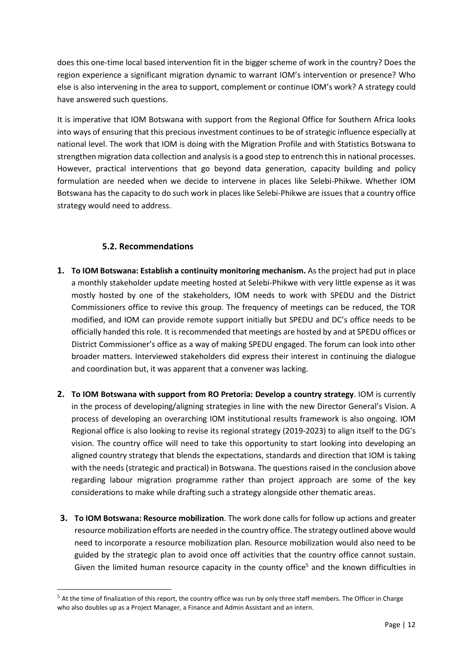does this one-time local based intervention fit in the bigger scheme of work in the country? Does the region experience a significant migration dynamic to warrant IOM's intervention or presence? Who else is also intervening in the area to support, complement or continue IOM's work? A strategy could have answered such questions.

It is imperative that IOM Botswana with support from the Regional Office for Southern Africa looks into ways of ensuring that this precious investment continues to be of strategic influence especially at national level. The work that IOM is doing with the Migration Profile and with Statistics Botswana to strengthen migration data collection and analysis is a good step to entrench this in national processes. However, practical interventions that go beyond data generation, capacity building and policy formulation are needed when we decide to intervene in places like Selebi-Phikwe. Whether IOM Botswana has the capacity to do such work in places like Selebi-Phikwe are issues that a country office strategy would need to address.

# **5.2. Recommendations**

- <span id="page-15-0"></span>**1. To IOM Botswana: Establish a continuity monitoring mechanism.** As the project had put in place a monthly stakeholder update meeting hosted at Selebi-Phikwe with very little expense as it was mostly hosted by one of the stakeholders, IOM needs to work with SPEDU and the District Commissioners office to revive this group. The frequency of meetings can be reduced, the TOR modified, and IOM can provide remote support initially but SPEDU and DC's office needs to be officially handed this role. It is recommended that meetings are hosted by and at SPEDU offices or District Commissioner's office as a way of making SPEDU engaged. The forum can look into other broader matters. Interviewed stakeholders did express their interest in continuing the dialogue and coordination but, it was apparent that a convener was lacking.
- **2. To IOM Botswana with support from RO Pretoria: Develop a country strategy**. IOM is currently in the process of developing/aligning strategies in line with the new Director General's Vision. A process of developing an overarching IOM institutional results framework is also ongoing. IOM Regional office is also looking to revise its regional strategy (2019-2023) to align itself to the DG's vision. The country office will need to take this opportunity to start looking into developing an aligned country strategy that blends the expectations, standards and direction that IOM is taking with the needs (strategic and practical) in Botswana. The questions raised in the conclusion above regarding labour migration programme rather than project approach are some of the key considerations to make while drafting such a strategy alongside other thematic areas.
- **3. To IOM Botswana: Resource mobilization**. The work done calls for follow up actions and greater resource mobilization efforts are needed in the country office. The strategy outlined above would need to incorporate a resource mobilization plan. Resource mobilization would also need to be guided by the strategic plan to avoid once off activities that the country office cannot sustain. Given the limited human resource capacity in the county office<sup>5</sup> and the known difficulties in

 $5$  At the time of finalization of this report, the country office was run by only three staff members. The Officer in Charge who also doubles up as a Project Manager, a Finance and Admin Assistant and an intern.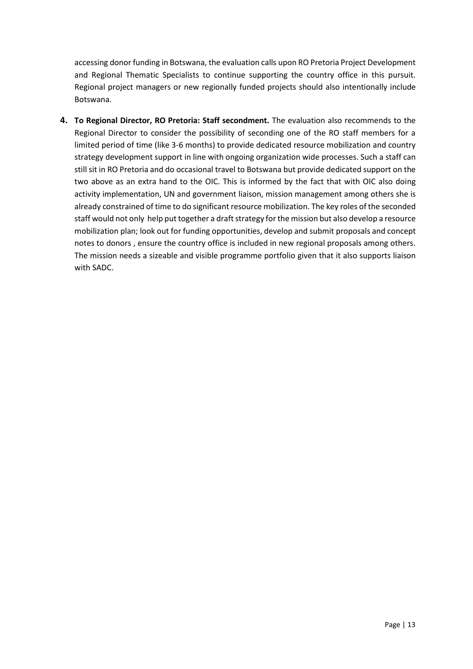accessing donor funding in Botswana, the evaluation calls upon RO Pretoria Project Development and Regional Thematic Specialists to continue supporting the country office in this pursuit. Regional project managers or new regionally funded projects should also intentionally include Botswana.

**4. To Regional Director, RO Pretoria: Staff secondment.** The evaluation also recommends to the Regional Director to consider the possibility of seconding one of the RO staff members for a limited period of time (like 3-6 months) to provide dedicated resource mobilization and country strategy development support in line with ongoing organization wide processes. Such a staff can still sit in RO Pretoria and do occasional travel to Botswana but provide dedicated support on the two above as an extra hand to the OIC. This is informed by the fact that with OIC also doing activity implementation, UN and government liaison, mission management among others she is already constrained of time to do significant resource mobilization. The key roles of the seconded staff would not only help put together a draft strategy for the mission but also develop a resource mobilization plan; look out for funding opportunities, develop and submit proposals and concept notes to donors , ensure the country office is included in new regional proposals among others. The mission needs a sizeable and visible programme portfolio given that it also supports liaison with SADC.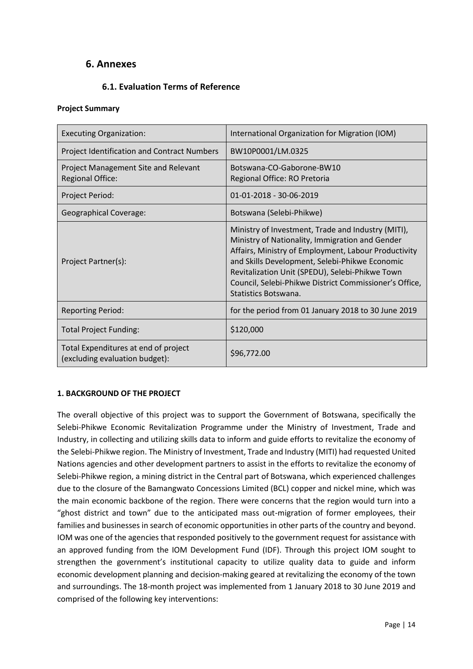# <span id="page-17-0"></span>**6. Annexes**

# **6.1. Evaluation Terms of Reference**

#### <span id="page-17-1"></span>**Project Summary**

| <b>Executing Organization:</b>                                         | International Organization for Migration (IOM)                                                                                                                                                                                                                                                                                                       |  |
|------------------------------------------------------------------------|------------------------------------------------------------------------------------------------------------------------------------------------------------------------------------------------------------------------------------------------------------------------------------------------------------------------------------------------------|--|
| <b>Project Identification and Contract Numbers</b>                     | BW10P0001/LM.0325                                                                                                                                                                                                                                                                                                                                    |  |
| Project Management Site and Relevant<br><b>Regional Office:</b>        | Botswana-CO-Gaborone-BW10<br>Regional Office: RO Pretoria                                                                                                                                                                                                                                                                                            |  |
| Project Period:                                                        | 01-01-2018 - 30-06-2019                                                                                                                                                                                                                                                                                                                              |  |
| <b>Geographical Coverage:</b>                                          | Botswana (Selebi-Phikwe)                                                                                                                                                                                                                                                                                                                             |  |
| Project Partner(s):                                                    | Ministry of Investment, Trade and Industry (MITI),<br>Ministry of Nationality, Immigration and Gender<br>Affairs, Ministry of Employment, Labour Productivity<br>and Skills Development, Selebi-Phikwe Economic<br>Revitalization Unit (SPEDU), Selebi-Phikwe Town<br>Council, Selebi-Phikwe District Commissioner's Office,<br>Statistics Botswana. |  |
| <b>Reporting Period:</b>                                               | for the period from 01 January 2018 to 30 June 2019                                                                                                                                                                                                                                                                                                  |  |
| <b>Total Project Funding:</b>                                          | \$120,000                                                                                                                                                                                                                                                                                                                                            |  |
| Total Expenditures at end of project<br>(excluding evaluation budget): | \$96,772.00                                                                                                                                                                                                                                                                                                                                          |  |

## **1. BACKGROUND OF THE PROJECT**

The overall objective of this project was to support the Government of Botswana, specifically the Selebi-Phikwe Economic Revitalization Programme under the Ministry of Investment, Trade and Industry, in collecting and utilizing skills data to inform and guide efforts to revitalize the economy of the Selebi-Phikwe region. The Ministry of Investment, Trade and Industry (MITI) had requested United Nations agencies and other development partners to assist in the efforts to revitalize the economy of Selebi-Phikwe region, a mining district in the Central part of Botswana, which experienced challenges due to the closure of the Bamangwato Concessions Limited (BCL) copper and nickel mine, which was the main economic backbone of the region. There were concerns that the region would turn into a "ghost district and town" due to the anticipated mass out-migration of former employees, their families and businesses in search of economic opportunities in other parts of the country and beyond. IOM was one of the agencies that responded positively to the government request for assistance with an approved funding from the IOM Development Fund (IDF). Through this project IOM sought to strengthen the government's institutional capacity to utilize quality data to guide and inform economic development planning and decision-making geared at revitalizing the economy of the town and surroundings. The 18-month project was implemented from 1 January 2018 to 30 June 2019 and comprised of the following key interventions: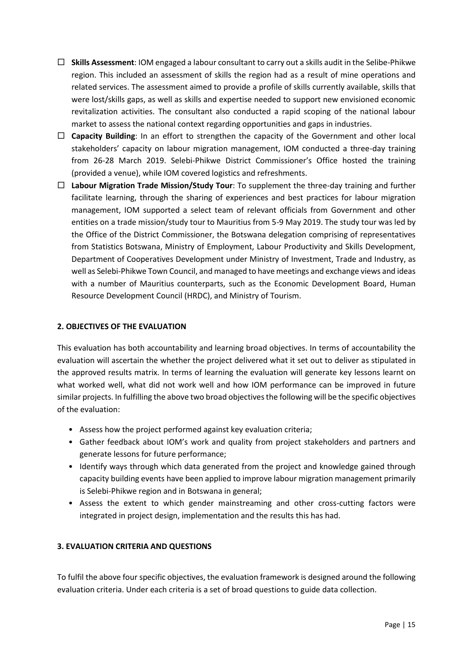- **Skills Assessment**: IOM engaged a labour consultant to carry out a skills audit in the Selibe-Phikwe region. This included an assessment of skills the region had as a result of mine operations and related services. The assessment aimed to provide a profile of skills currently available, skills that were lost/skills gaps, as well as skills and expertise needed to support new envisioned economic revitalization activities. The consultant also conducted a rapid scoping of the national labour market to assess the national context regarding opportunities and gaps in industries.
- □ **Capacity Building**: In an effort to strengthen the capacity of the Government and other local stakeholders' capacity on labour migration management, IOM conducted a three-day training from 26-28 March 2019. Selebi-Phikwe District Commissioner's Office hosted the training (provided a venue), while IOM covered logistics and refreshments.
- **Labour Migration Trade Mission/Study Tour**: To supplement the three-day training and further facilitate learning, through the sharing of experiences and best practices for labour migration management, IOM supported a select team of relevant officials from Government and other entities on a trade mission/study tour to Mauritius from 5-9 May 2019. The study tour was led by the Office of the District Commissioner, the Botswana delegation comprising of representatives from Statistics Botswana, Ministry of Employment, Labour Productivity and Skills Development, Department of Cooperatives Development under Ministry of Investment, Trade and Industry, as well as Selebi-Phikwe Town Council, and managed to have meetings and exchange views and ideas with a number of Mauritius counterparts, such as the Economic Development Board, Human Resource Development Council (HRDC), and Ministry of Tourism.

#### **2. OBJECTIVES OF THE EVALUATION**

This evaluation has both accountability and learning broad objectives. In terms of accountability the evaluation will ascertain the whether the project delivered what it set out to deliver as stipulated in the approved results matrix. In terms of learning the evaluation will generate key lessons learnt on what worked well, what did not work well and how IOM performance can be improved in future similar projects. In fulfilling the above two broad objectives the following will be the specific objectives of the evaluation:

- Assess how the project performed against key evaluation criteria;
- Gather feedback about IOM's work and quality from project stakeholders and partners and generate lessons for future performance;
- Identify ways through which data generated from the project and knowledge gained through capacity building events have been applied to improve labour migration management primarily is Selebi-Phikwe region and in Botswana in general;
- Assess the extent to which gender mainstreaming and other cross-cutting factors were integrated in project design, implementation and the results this has had.

## **3. EVALUATION CRITERIA AND QUESTIONS**

To fulfil the above four specific objectives, the evaluation framework is designed around the following evaluation criteria. Under each criteria is a set of broad questions to guide data collection.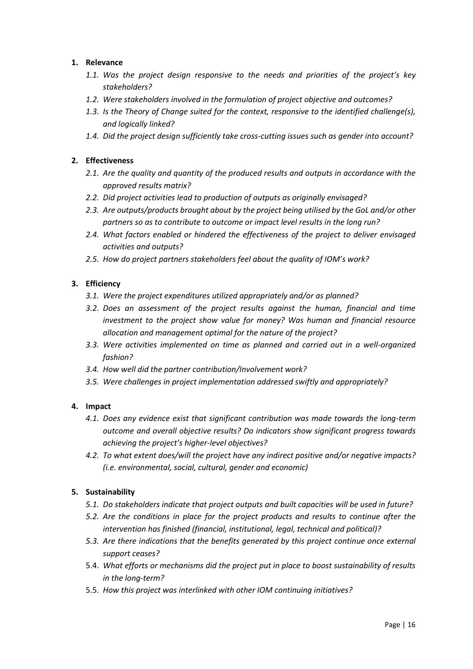#### **1. Relevance**

- *1.1. Was the project design responsive to the needs and priorities of the project's key stakeholders?*
- *1.2. Were stakeholders involved in the formulation of project objective and outcomes?*
- *1.3. Is the Theory of Change suited for the context, responsive to the identified challenge(s), and logically linked?*
- *1.4. Did the project design sufficiently take cross-cutting issues such as gender into account?*

#### **2. Effectiveness**

- *2.1. Are the quality and quantity of the produced results and outputs in accordance with the approved results matrix?*
- *2.2. Did project activities lead to production of outputs as originally envisaged?*
- *2.3. Are outputs/products brought about by the project being utilised by the GoL and/or other partners so as to contribute to outcome or impact level results in the long run?*
- *2.4. What factors enabled or hindered the effectiveness of the project to deliver envisaged activities and outputs?*
- *2.5. How do project partners stakeholders feel about the quality of IOM's work?*

#### **3. Efficiency**

- *3.1. Were the project expenditures utilized appropriately and/or as planned?*
- *3.2. Does an assessment of the project results against the human, financial and time investment to the project show value for money? Was human and financial resource allocation and management optimal for the nature of the project?*
- *3.3. Were activities implemented on time as planned and carried out in a well-organized fashion?*
- *3.4. How well did the partner contribution/Involvement work?*
- *3.5. Were challenges in project implementation addressed swiftly and appropriately?*

#### **4. Impact**

- *4.1. Does any evidence exist that significant contribution was made towards the long-term outcome and overall objective results? Do indicators show significant progress towards achieving the project's higher-level objectives?*
- *4.2. To what extent does/will the project have any indirect positive and/or negative impacts? (i.e. environmental, social, cultural, gender and economic)*

#### **5. Sustainability**

- *5.1. Do stakeholders indicate that project outputs and built capacities will be used in future?*
- *5.2. Are the conditions in place for the project products and results to continue after the intervention has finished (financial, institutional, legal, technical and political)?*
- *5.3. Are there indications that the benefits generated by this project continue once external support ceases?*
- 5.4. *What efforts or mechanisms did the project put in place to boost sustainability of results in the long-term?*
- 5.5. *How this project was interlinked with other IOM continuing initiatives?*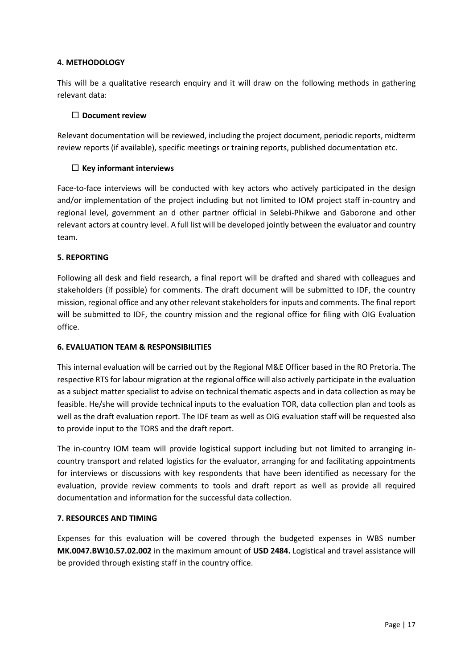#### **4. METHODOLOGY**

This will be a qualitative research enquiry and it will draw on the following methods in gathering relevant data:

#### **Document review**

Relevant documentation will be reviewed, including the project document, periodic reports, midterm review reports (if available), specific meetings or training reports, published documentation etc.

## **Key informant interviews**

Face-to-face interviews will be conducted with key actors who actively participated in the design and/or implementation of the project including but not limited to IOM project staff in-country and regional level, government an d other partner official in Selebi-Phikwe and Gaborone and other relevant actors at country level. A full list will be developed jointly between the evaluator and country team.

#### **5. REPORTING**

Following all desk and field research, a final report will be drafted and shared with colleagues and stakeholders (if possible) for comments. The draft document will be submitted to IDF, the country mission, regional office and any other relevant stakeholders for inputs and comments. The final report will be submitted to IDF, the country mission and the regional office for filing with OIG Evaluation office.

## **6. EVALUATION TEAM & RESPONSIBILITIES**

This internal evaluation will be carried out by the Regional M&E Officer based in the RO Pretoria. The respective RTS for labour migration at the regional office will also actively participate in the evaluation as a subject matter specialist to advise on technical thematic aspects and in data collection as may be feasible. He/she will provide technical inputs to the evaluation TOR, data collection plan and tools as well as the draft evaluation report. The IDF team as well as OIG evaluation staff will be requested also to provide input to the TORS and the draft report.

The in-country IOM team will provide logistical support including but not limited to arranging incountry transport and related logistics for the evaluator, arranging for and facilitating appointments for interviews or discussions with key respondents that have been identified as necessary for the evaluation, provide review comments to tools and draft report as well as provide all required documentation and information for the successful data collection.

#### **7. RESOURCES AND TIMING**

Expenses for this evaluation will be covered through the budgeted expenses in WBS number **MK.0047.BW10.57.02.002** in the maximum amount of **USD 2484.** Logistical and travel assistance will be provided through existing staff in the country office.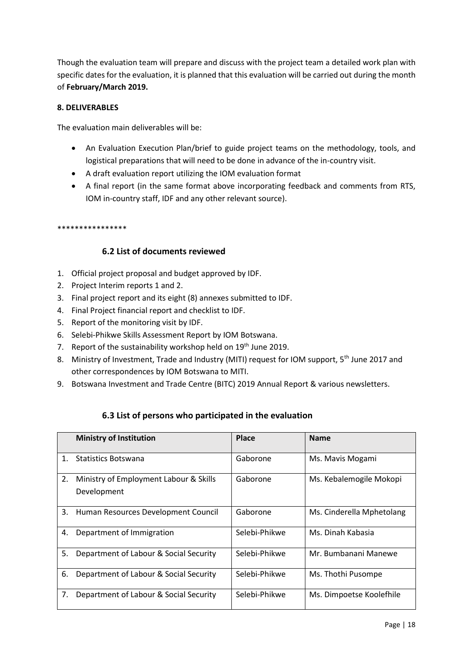Though the evaluation team will prepare and discuss with the project team a detailed work plan with specific dates for the evaluation, it is planned that this evaluation will be carried out during the month of **February/March 2019.**

#### **8. DELIVERABLES**

The evaluation main deliverables will be:

- An Evaluation Execution Plan/brief to guide project teams on the methodology, tools, and logistical preparations that will need to be done in advance of the in-country visit.
- A draft evaluation report utilizing the IOM evaluation format
- A final report (in the same format above incorporating feedback and comments from RTS, IOM in-country staff, IDF and any other relevant source).

#### \*\*\*\*\*\*\*\*\*\*\*\*\*\*\*\*

## **6.2 List of documents reviewed**

- <span id="page-21-0"></span>1. Official project proposal and budget approved by IDF.
- 2. Project Interim reports 1 and 2.
- 3. Final project report and its eight (8) annexes submitted to IDF.
- 4. Final Project financial report and checklist to IDF.
- 5. Report of the monitoring visit by IDF.
- 6. Selebi-Phikwe Skills Assessment Report by IOM Botswana.
- 7. Report of the sustainability workshop held on 19<sup>th</sup> June 2019.
- 8. Ministry of Investment, Trade and Industry (MITI) request for IOM support, 5<sup>th</sup> June 2017 and other correspondences by IOM Botswana to MITI.
- 9. Botswana Investment and Trade Centre (BITC) 2019 Annual Report & various newsletters.

## **6.3 List of persons who participated in the evaluation**

<span id="page-21-1"></span>

|    | <b>Ministry of Institution</b>                        | <b>Place</b>  | <b>Name</b>               |
|----|-------------------------------------------------------|---------------|---------------------------|
| 1. | Statistics Botswana                                   | Gaborone      | Ms. Mavis Mogami          |
| 2. | Ministry of Employment Labour & Skills<br>Development | Gaborone      | Ms. Kebalemogile Mokopi   |
| 3. | Human Resources Development Council                   | Gaborone      | Ms. Cinderella Mphetolang |
| 4. | Department of Immigration                             | Selebi-Phikwe | Ms. Dinah Kabasia         |
| 5. | Department of Labour & Social Security                | Selebi-Phikwe | Mr. Bumbanani Manewe      |
| 6. | Department of Labour & Social Security                | Selebi-Phikwe | Ms. Thothi Pusompe        |
| 7. | Department of Labour & Social Security                | Selebi-Phikwe | Ms. Dimpoetse Koolefhile  |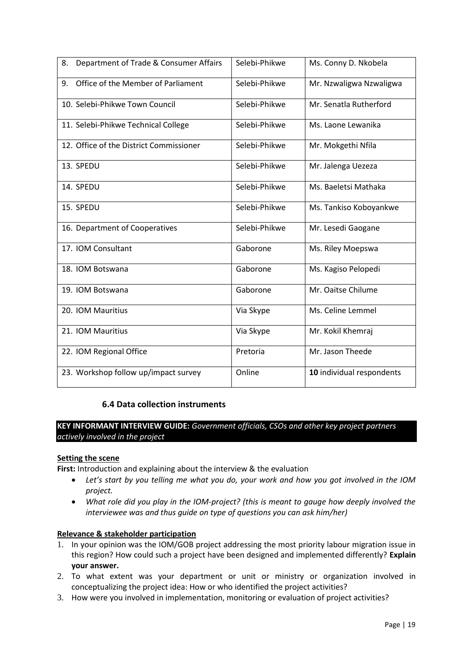| 8.<br>Department of Trade & Consumer Affairs | Selebi-Phikwe | Ms. Conny D. Nkobela      |
|----------------------------------------------|---------------|---------------------------|
| Office of the Member of Parliament<br>9.     | Selebi-Phikwe | Mr. Nzwaligwa Nzwaligwa   |
| 10. Selebi-Phikwe Town Council               | Selebi-Phikwe | Mr. Senatla Rutherford    |
| 11. Selebi-Phikwe Technical College          | Selebi-Phikwe | Ms. Laone Lewanika        |
| 12. Office of the District Commissioner      | Selebi-Phikwe | Mr. Mokgethi Nfila        |
| 13. SPEDU                                    | Selebi-Phikwe | Mr. Jalenga Uezeza        |
| 14. SPEDU                                    | Selebi-Phikwe | Ms. Baeletsi Mathaka      |
| 15. SPEDU                                    | Selebi-Phikwe | Ms. Tankiso Koboyankwe    |
| 16. Department of Cooperatives               | Selebi-Phikwe | Mr. Lesedi Gaogane        |
| 17. IOM Consultant                           | Gaborone      | Ms. Riley Moepswa         |
| 18. IOM Botswana                             | Gaborone      | Ms. Kagiso Pelopedi       |
| 19. IOM Botswana                             | Gaborone      | Mr. Oaitse Chilume        |
| 20. IOM Mauritius                            | Via Skype     | Ms. Celine Lemmel         |
| 21. IOM Mauritius                            | Via Skype     | Mr. Kokil Khemraj         |
| 22. IOM Regional Office                      | Pretoria      | Mr. Jason Theede          |
| 23. Workshop follow up/impact survey         | Online        | 10 individual respondents |

## **6.4 Data collection instruments**

<span id="page-22-0"></span>**KEY INFORMANT INTERVIEW GUIDE:** *Government officials, CSOs and other key project partners actively involved in the project*

#### **Setting the scene**

First: Introduction and explaining about the interview & the evaluation

- *Let's start by you telling me what you do, your work and how you got involved in the IOM project.*
- *What role did you play in the IOM-project? (this is meant to gauge how deeply involved the interviewee was and thus guide on type of questions you can ask him/her)*

#### **Relevance & stakeholder participation**

- 1. In your opinion was the IOM/GOB project addressing the most priority labour migration issue in this region? How could such a project have been designed and implemented differently? **Explain your answer.**
- 2. To what extent was your department or unit or ministry or organization involved in conceptualizing the project idea: How or who identified the project activities?
- 3. How were you involved in implementation, monitoring or evaluation of project activities?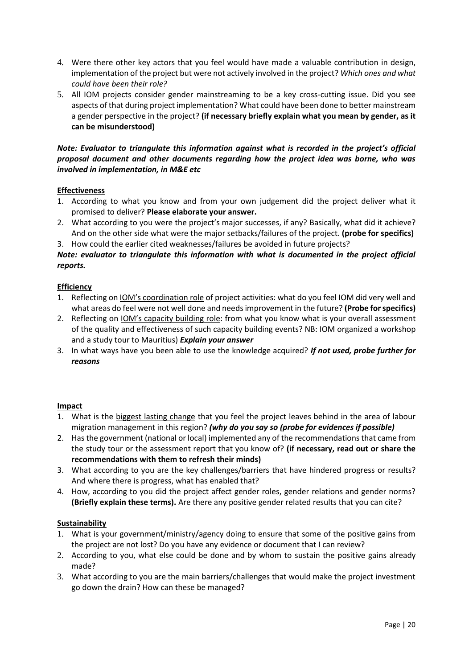- 4. Were there other key actors that you feel would have made a valuable contribution in design, implementation of the project but were not actively involved in the project? *Which ones and what could have been their role?*
- 5. All IOM projects consider gender mainstreaming to be a key cross-cutting issue. Did you see aspects of that during project implementation? What could have been done to better mainstream a gender perspective in the project? **(if necessary briefly explain what you mean by gender, as it can be misunderstood)**

#### *Note: Evaluator to triangulate this information against what is recorded in the project's official proposal document and other documents regarding how the project idea was borne, who was involved in implementation, in M&E etc*

## **Effectiveness**

- 1. According to what you know and from your own judgement did the project deliver what it promised to deliver? **Please elaborate your answer.**
- 2. What according to you were the project's major successes, if any? Basically, what did it achieve? And on the other side what were the major setbacks/failures of the project. **(probe for specifics)**
- 3. How could the earlier cited weaknesses/failures be avoided in future projects?

## *Note: evaluator to triangulate this information with what is documented in the project official reports.*

#### **Efficiency**

- 1. Reflecting on IOM's coordination role of project activities: what do you feel IOM did very well and what areas do feel were not well done and needs improvement in the future? **(Probe for specifics)**
- 2. Reflecting on IOM's capacity building role: from what you know what is your overall assessment of the quality and effectiveness of such capacity building events? NB: IOM organized a workshop and a study tour to Mauritius) *Explain your answer*
- 3. In what ways have you been able to use the knowledge acquired? *If not used, probe further for reasons*

#### **Impact**

- 1. What is the biggest lasting change that you feel the project leaves behind in the area of labour migration management in this region? *(why do you say so (probe for evidences if possible)*
- 2. Has the government (national or local) implemented any of the recommendations that came from the study tour or the assessment report that you know of? **(if necessary, read out or share the recommendations with them to refresh their minds)**
- 3. What according to you are the key challenges/barriers that have hindered progress or results? And where there is progress, what has enabled that?
- 4. How, according to you did the project affect gender roles, gender relations and gender norms? **(Briefly explain these terms).** Are there any positive gender related results that you can cite?

#### **Sustainability**

- 1. What is your government/ministry/agency doing to ensure that some of the positive gains from the project are not lost? Do you have any evidence or document that I can review?
- 2. According to you, what else could be done and by whom to sustain the positive gains already made?
- 3. What according to you are the main barriers/challenges that would make the project investment go down the drain? How can these be managed?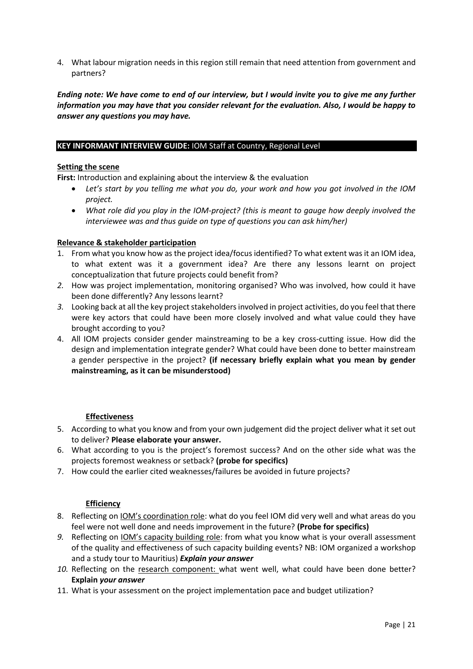4. What labour migration needs in this region still remain that need attention from government and partners?

*Ending note: We have come to end of our interview, but I would invite you to give me any further information you may have that you consider relevant for the evaluation. Also, I would be happy to answer any questions you may have.* 

#### **KEY INFORMANT INTERVIEW GUIDE:** IOM Staff at Country, Regional Level

#### **Setting the scene**

First: Introduction and explaining about the interview & the evaluation

- *Let's start by you telling me what you do, your work and how you got involved in the IOM project.*
- *What role did you play in the IOM-project? (this is meant to gauge how deeply involved the interviewee was and thus guide on type of questions you can ask him/her)*

#### **Relevance & stakeholder participation**

- 1. From what you know how as the project idea/focus identified? To what extent was it an IOM idea, to what extent was it a government idea? Are there any lessons learnt on project conceptualization that future projects could benefit from?
- *2.* How was project implementation, monitoring organised? Who was involved, how could it have been done differently? Any lessons learnt?
- *3.* Looking back at all the key project stakeholders involved in project activities, do you feel that there were key actors that could have been more closely involved and what value could they have brought according to you?
- 4. All IOM projects consider gender mainstreaming to be a key cross-cutting issue. How did the design and implementation integrate gender? What could have been done to better mainstream a gender perspective in the project? **(if necessary briefly explain what you mean by gender mainstreaming, as it can be misunderstood)**

## **Effectiveness**

- 5. According to what you know and from your own judgement did the project deliver what it set out to deliver? **Please elaborate your answer.**
- 6. What according to you is the project's foremost success? And on the other side what was the projects foremost weakness or setback? **(probe for specifics)**
- 7. How could the earlier cited weaknesses/failures be avoided in future projects?

#### **Efficiency**

- 8. Reflecting on *IOM's coordination role:* what do you feel IOM did very well and what areas do you feel were not well done and needs improvement in the future? **(Probe for specifics)**
- *9.* Reflecting on IOM's capacity building role: from what you know what is your overall assessment of the quality and effectiveness of such capacity building events? NB: IOM organized a workshop and a study tour to Mauritius) *Explain your answer*
- *10.* Reflecting on the research component: what went well, what could have been done better? **Explain** *your answer*
- 11. What is your assessment on the project implementation pace and budget utilization?